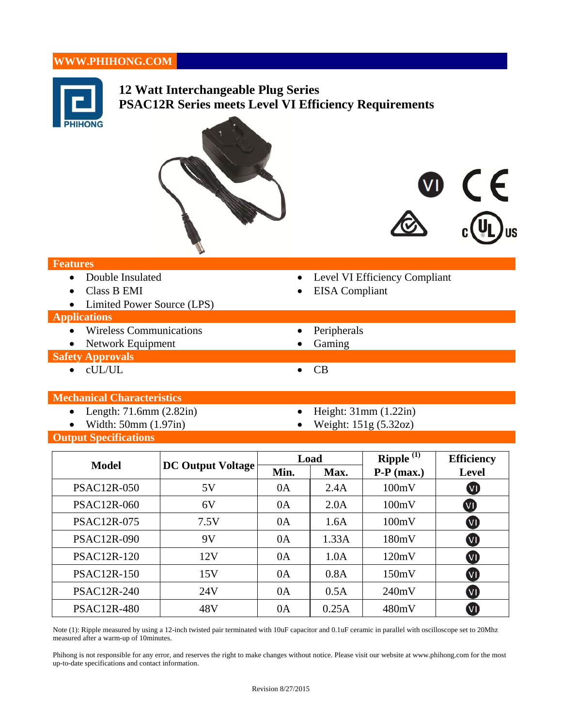# **WWW.PHIHONG.COM**



- Width:  $50 \text{mm}$  (1.97in) Weight:  $151 \text{g}$  (5.32oz)
- -

**Output Specifications** 

|                    | <b>DC Output Voltage</b> | Load |       | <b>Ripple</b> $(1)$ | <b>Efficiency</b>       |
|--------------------|--------------------------|------|-------|---------------------|-------------------------|
| <b>Model</b>       |                          | Min. | Max.  | $P-P$ (max.)        | <b>Level</b>            |
| <b>PSAC12R-050</b> | 5V                       | 0A   | 2.4A  | 100mV               | $\mathbf{w}$            |
| <b>PSAC12R-060</b> | 6V                       | 0A   | 2.0A  | 100mV               | $\bf{W}$                |
| <b>PSAC12R-075</b> | 7.5V                     | 0A   | 1.6A  | 100mV               | $\overline{\mathsf{v}}$ |
| <b>PSAC12R-090</b> | 9V                       | 0A   | 1.33A | 180mV               | <b>VI</b>               |
| <b>PSAC12R-120</b> | 12V                      | 0A   | 1.0A  | 120mV               | $\overline{\mathbf{w}}$ |
| <b>PSAC12R-150</b> | 15V                      | 0A   | 0.8A  | 150mV               | $\overline{\mathsf{v}}$ |
| <b>PSAC12R-240</b> | 24V                      | 0A   | 0.5A  | 240mV               | $\overline{\mathsf{v}}$ |
| <b>PSAC12R-480</b> | 48V                      | 0A   | 0.25A | 480mV               |                         |

Note (1): Ripple measured by using a 12-inch twisted pair terminated with 10uF capacitor and  $0.1$ uF ceramic in parallel with oscilloscope set to 20Mhz measured after a warm-up of 10minutes.

Phihong is not responsible for any error, and reserves the right to make changes without notice. Please visit our website at www.phihong.com for the most up-to-date specifications and contact information.